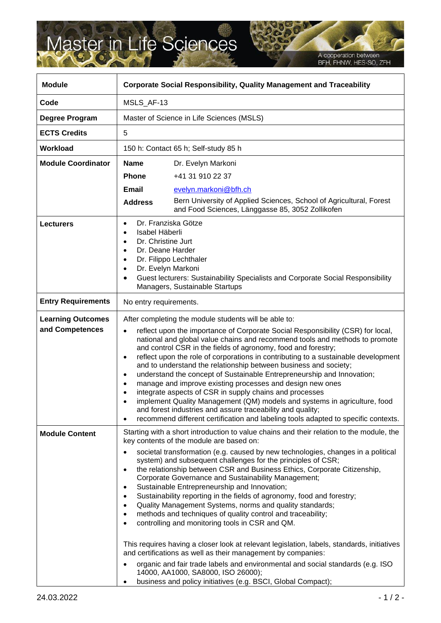## Master in Life Sciences

A cooperation between<br>BFH, FHNW, HES-SO, ZFH

| <b>Module</b>                               | <b>Corporate Social Responsibility, Quality Management and Traceability</b>                                                                                                                                                                                                                                                                                                                                                                                                                                                                                                                                                                                                                                                                                                                                                                                                                                                       |                                                                                                                                                                                                                                                                                                                                                                                                                                                                                                                                                                                                                                                                                                                                                                                                                                                                                                                                                                                                                                                                                           |
|---------------------------------------------|-----------------------------------------------------------------------------------------------------------------------------------------------------------------------------------------------------------------------------------------------------------------------------------------------------------------------------------------------------------------------------------------------------------------------------------------------------------------------------------------------------------------------------------------------------------------------------------------------------------------------------------------------------------------------------------------------------------------------------------------------------------------------------------------------------------------------------------------------------------------------------------------------------------------------------------|-------------------------------------------------------------------------------------------------------------------------------------------------------------------------------------------------------------------------------------------------------------------------------------------------------------------------------------------------------------------------------------------------------------------------------------------------------------------------------------------------------------------------------------------------------------------------------------------------------------------------------------------------------------------------------------------------------------------------------------------------------------------------------------------------------------------------------------------------------------------------------------------------------------------------------------------------------------------------------------------------------------------------------------------------------------------------------------------|
| Code                                        | MSLS_AF-13                                                                                                                                                                                                                                                                                                                                                                                                                                                                                                                                                                                                                                                                                                                                                                                                                                                                                                                        |                                                                                                                                                                                                                                                                                                                                                                                                                                                                                                                                                                                                                                                                                                                                                                                                                                                                                                                                                                                                                                                                                           |
| Degree Program                              | Master of Science in Life Sciences (MSLS)                                                                                                                                                                                                                                                                                                                                                                                                                                                                                                                                                                                                                                                                                                                                                                                                                                                                                         |                                                                                                                                                                                                                                                                                                                                                                                                                                                                                                                                                                                                                                                                                                                                                                                                                                                                                                                                                                                                                                                                                           |
| <b>ECTS Credits</b>                         | 5                                                                                                                                                                                                                                                                                                                                                                                                                                                                                                                                                                                                                                                                                                                                                                                                                                                                                                                                 |                                                                                                                                                                                                                                                                                                                                                                                                                                                                                                                                                                                                                                                                                                                                                                                                                                                                                                                                                                                                                                                                                           |
| <b>Workload</b>                             | 150 h: Contact 65 h; Self-study 85 h                                                                                                                                                                                                                                                                                                                                                                                                                                                                                                                                                                                                                                                                                                                                                                                                                                                                                              |                                                                                                                                                                                                                                                                                                                                                                                                                                                                                                                                                                                                                                                                                                                                                                                                                                                                                                                                                                                                                                                                                           |
| <b>Module Coordinator</b>                   | <b>Name</b>                                                                                                                                                                                                                                                                                                                                                                                                                                                                                                                                                                                                                                                                                                                                                                                                                                                                                                                       | Dr. Evelyn Markoni                                                                                                                                                                                                                                                                                                                                                                                                                                                                                                                                                                                                                                                                                                                                                                                                                                                                                                                                                                                                                                                                        |
|                                             | <b>Phone</b>                                                                                                                                                                                                                                                                                                                                                                                                                                                                                                                                                                                                                                                                                                                                                                                                                                                                                                                      | +41 31 910 22 37                                                                                                                                                                                                                                                                                                                                                                                                                                                                                                                                                                                                                                                                                                                                                                                                                                                                                                                                                                                                                                                                          |
|                                             | <b>Email</b>                                                                                                                                                                                                                                                                                                                                                                                                                                                                                                                                                                                                                                                                                                                                                                                                                                                                                                                      | evelyn.markoni@bfh.ch                                                                                                                                                                                                                                                                                                                                                                                                                                                                                                                                                                                                                                                                                                                                                                                                                                                                                                                                                                                                                                                                     |
|                                             | <b>Address</b>                                                                                                                                                                                                                                                                                                                                                                                                                                                                                                                                                                                                                                                                                                                                                                                                                                                                                                                    | Bern University of Applied Sciences, School of Agricultural, Forest<br>and Food Sciences, Länggasse 85, 3052 Zollikofen                                                                                                                                                                                                                                                                                                                                                                                                                                                                                                                                                                                                                                                                                                                                                                                                                                                                                                                                                                   |
| <b>Lecturers</b>                            | Dr. Franziska Götze<br>٠<br>Isabel Häberli<br>Dr. Christine Jurt<br>٠<br>Dr. Deane Harder<br>٠<br>Dr. Filippo Lechthaler<br>٠<br>Dr. Evelyn Markoni<br>$\bullet$<br>Guest lecturers: Sustainability Specialists and Corporate Social Responsibility<br>$\bullet$<br>Managers, Sustainable Startups                                                                                                                                                                                                                                                                                                                                                                                                                                                                                                                                                                                                                                |                                                                                                                                                                                                                                                                                                                                                                                                                                                                                                                                                                                                                                                                                                                                                                                                                                                                                                                                                                                                                                                                                           |
| <b>Entry Requirements</b>                   | No entry requirements.                                                                                                                                                                                                                                                                                                                                                                                                                                                                                                                                                                                                                                                                                                                                                                                                                                                                                                            |                                                                                                                                                                                                                                                                                                                                                                                                                                                                                                                                                                                                                                                                                                                                                                                                                                                                                                                                                                                                                                                                                           |
| <b>Learning Outcomes</b><br>and Competences | After completing the module students will be able to:<br>reflect upon the importance of Corporate Social Responsibility (CSR) for local,<br>$\bullet$<br>national and global value chains and recommend tools and methods to promote<br>and control CSR in the fields of agronomy, food and forestry;<br>reflect upon the role of corporations in contributing to a sustainable development<br>$\bullet$<br>and to understand the relationship between business and society;<br>understand the concept of Sustainable Entrepreneurship and Innovation;<br>manage and improve existing processes and design new ones<br>integrate aspects of CSR in supply chains and processes<br>٠<br>implement Quality Management (QM) models and systems in agriculture, food<br>$\bullet$<br>and forest industries and assure traceability and quality;<br>recommend different certification and labeling tools adapted to specific contexts. |                                                                                                                                                                                                                                                                                                                                                                                                                                                                                                                                                                                                                                                                                                                                                                                                                                                                                                                                                                                                                                                                                           |
| <b>Module Content</b>                       | ٠<br>٠<br>٠                                                                                                                                                                                                                                                                                                                                                                                                                                                                                                                                                                                                                                                                                                                                                                                                                                                                                                                       | Starting with a short introduction to value chains and their relation to the module, the<br>key contents of the module are based on:<br>societal transformation (e.g. caused by new technologies, changes in a political<br>system) and subsequent challenges for the principles of CSR;<br>the relationship between CSR and Business Ethics, Corporate Citizenship,<br>Corporate Governance and Sustainability Management;<br>Sustainable Entrepreneurship and Innovation;<br>Sustainability reporting in the fields of agronomy, food and forestry;<br>Quality Management Systems, norms and quality standards;<br>methods and techniques of quality control and traceability;<br>controlling and monitoring tools in CSR and QM.<br>This requires having a closer look at relevant legislation, labels, standards, initiatives<br>and certifications as well as their management by companies:<br>organic and fair trade labels and environmental and social standards (e.g. ISO<br>14000, AA1000, SA8000, ISO 26000);<br>business and policy initiatives (e.g. BSCI, Global Compact); |